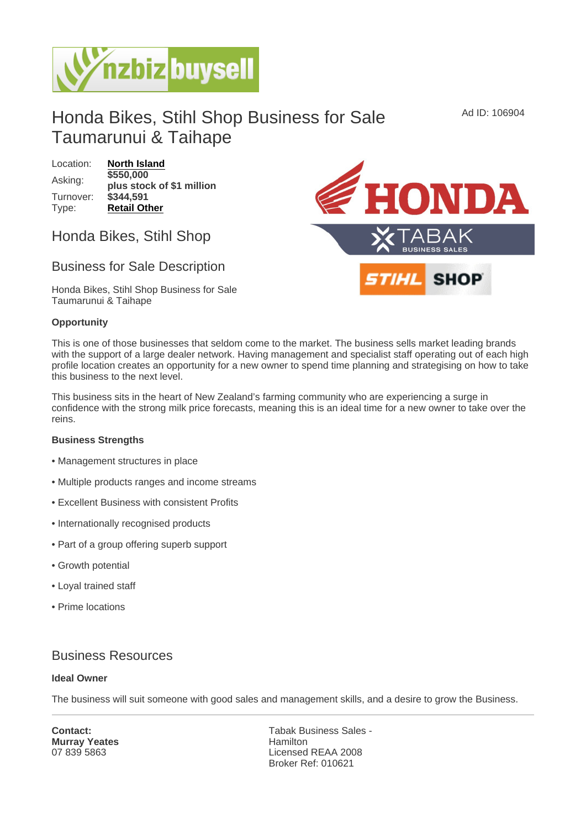Ad ID: 106904

# Honda Bikes, Stihl Shop Business for Sale Taumarunui & Taihape

Location: [North Island](https://www.nzbizbuysell.co.nz/businesses-for-sale/location/North-Island) Asking: \$550,000 plus stock of \$1 million Turnover: \$344,591 Type: [Retail Other](https://www.nzbizbuysell.co.nz/businesses-for-sale/Retail-Other/New-Zealand)

## Honda Bikes, Stihl Shop

## Business for Sale Description

Honda Bikes, Stihl Shop Business for Sale Taumarunui & Taihape

#### **Opportunity**

This is one of those businesses that seldom come to the market. The business sells market leading brands with the support of a large dealer network. Having management and specialist staff operating out of each high profile location creates an opportunity for a new owner to spend time planning and strategising on how to take this business to the next level.

This business sits in the heart of New Zealand's farming community who are experiencing a surge in confidence with the strong milk price forecasts, meaning this is an ideal time for a new owner to take over the reins.

Business Strengths

- Management structures in place
- Multiple products ranges and income streams
- Excellent Business with consistent Profits
- Internationally recognised products
- Part of a group offering superb support
- Growth potential
- Loyal trained staff
- Prime locations

## Business Resources

#### Ideal Owner

The business will suit someone with good sales and management skills, and a desire to grow the Business.

Contact: Murray Yeates 07 839 5863

Tabak Business Sales - Hamilton Licensed REAA 2008 Broker Ref: 010621